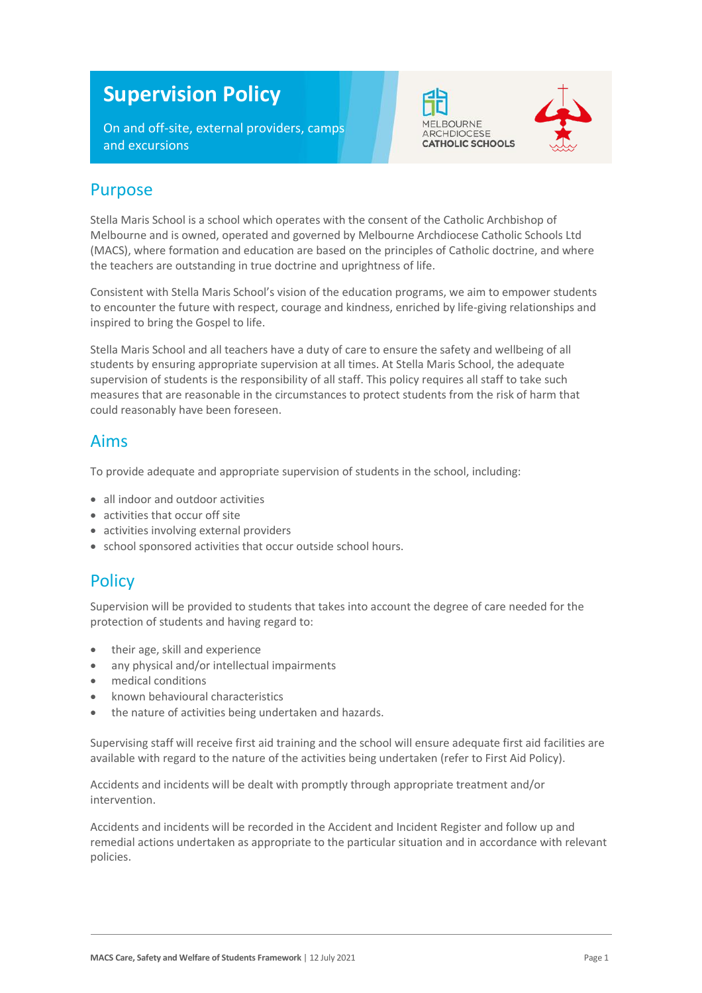# **Supervision Policy**

On and off-site, external providers, camps and excursions





### Purpose

Stella Maris School is a school which operates with the consent of the Catholic Archbishop of Melbourne and is owned, operated and governed by Melbourne Archdiocese Catholic Schools Ltd (MACS), where formation and education are based on the principles of Catholic doctrine, and where the teachers are outstanding in true doctrine and uprightness of life.

Consistent with Stella Maris School's vision of the education programs, we aim to empower students to encounter the future with respect, courage and kindness, enriched by life-giving relationships and inspired to bring the Gospel to life.

Stella Maris School and all teachers have a duty of care to ensure the safety and wellbeing of all students by ensuring appropriate supervision at all times. At Stella Maris School, the adequate supervision of students is the responsibility of all staff. This policy requires all staff to take such measures that are reasonable in the circumstances to protect students from the risk of harm that could reasonably have been foreseen.

### Aims

To provide adequate and appropriate supervision of students in the school, including:

- all indoor and outdoor activities
- activities that occur off site
- activities involving external providers
- school sponsored activities that occur outside school hours.

### **Policy**

Supervision will be provided to students that takes into account the degree of care needed for the protection of students and having regard to:

- their age, skill and experience
- any physical and/or intellectual impairments
- medical conditions
- known behavioural characteristics
- the nature of activities being undertaken and hazards.

Supervising staff will receive first aid training and the school will ensure adequate first aid facilities are available with regard to the nature of the activities being undertaken (refer to First Aid Policy).

Accidents and incidents will be dealt with promptly through appropriate treatment and/or intervention.

Accidents and incidents will be recorded in the Accident and Incident Register and follow up and remedial actions undertaken as appropriate to the particular situation and in accordance with relevant policies.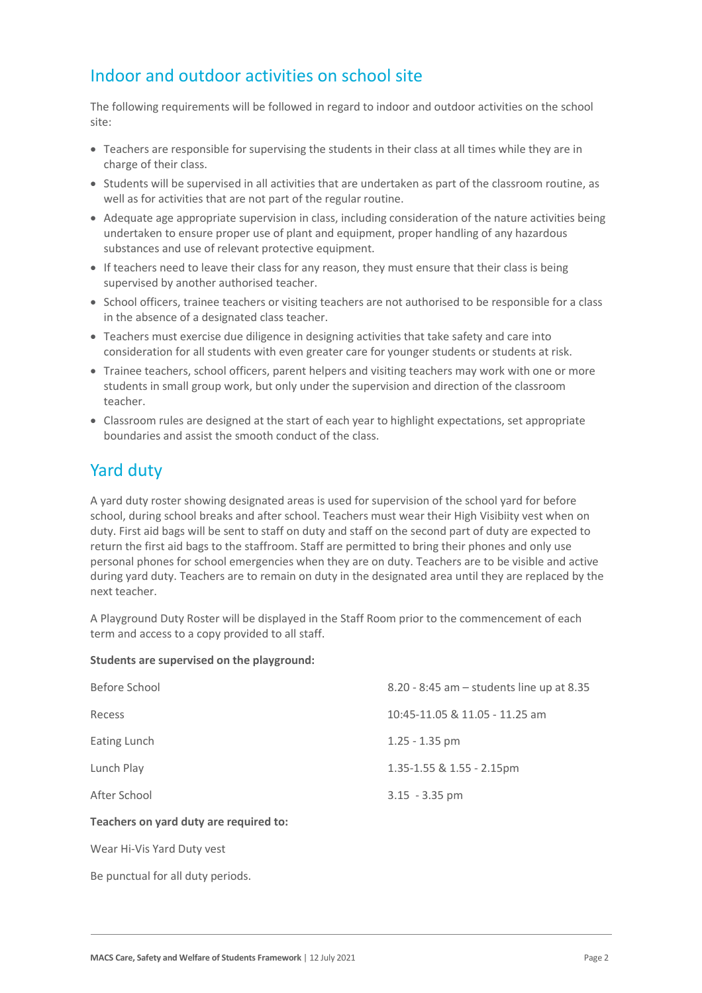## Indoor and outdoor activities on school site

The following requirements will be followed in regard to indoor and outdoor activities on the school site:

- Teachers are responsible for supervising the students in their class at all times while they are in charge of their class.
- Students will be supervised in all activities that are undertaken as part of the classroom routine, as well as for activities that are not part of the regular routine.
- Adequate age appropriate supervision in class, including consideration of the nature activities being undertaken to ensure proper use of plant and equipment, proper handling of any hazardous substances and use of relevant protective equipment.
- If teachers need to leave their class for any reason, they must ensure that their class is being supervised by another authorised teacher.
- School officers, trainee teachers or visiting teachers are not authorised to be responsible for a class in the absence of a designated class teacher.
- Teachers must exercise due diligence in designing activities that take safety and care into consideration for all students with even greater care for younger students or students at risk.
- Trainee teachers, school officers, parent helpers and visiting teachers may work with one or more students in small group work, but only under the supervision and direction of the classroom teacher.
- Classroom rules are designed at the start of each year to highlight expectations, set appropriate boundaries and assist the smooth conduct of the class.

# Yard duty

A yard duty roster showing designated areas is used for supervision of the school yard for before school, during school breaks and after school. Teachers must wear their High Visibiity vest when on duty. First aid bags will be sent to staff on duty and staff on the second part of duty are expected to return the first aid bags to the staffroom. Staff are permitted to bring their phones and only use personal phones for school emergencies when they are on duty. Teachers are to be visible and active during yard duty. Teachers are to remain on duty in the designated area until they are replaced by the next teacher.

A Playground Duty Roster will be displayed in the Staff Room prior to the commencement of each term and access to a copy provided to all staff.

#### **Students are supervised on the playground:**

| Before School                          | 8.20 - 8:45 am - students line up at 8.35 |
|----------------------------------------|-------------------------------------------|
| Recess                                 | 10:45-11.05 & 11.05 - 11.25 am            |
| Eating Lunch                           | $1.25 - 1.35$ pm                          |
| Lunch Play                             | $1.35 - 1.55$ & $1.55 - 2.15$ pm          |
| After School                           | $3.15 - 3.35$ pm                          |
| Teachers on yard duty are required to: |                                           |

Wear Hi-Vis Yard Duty vest

Be punctual for all duty periods.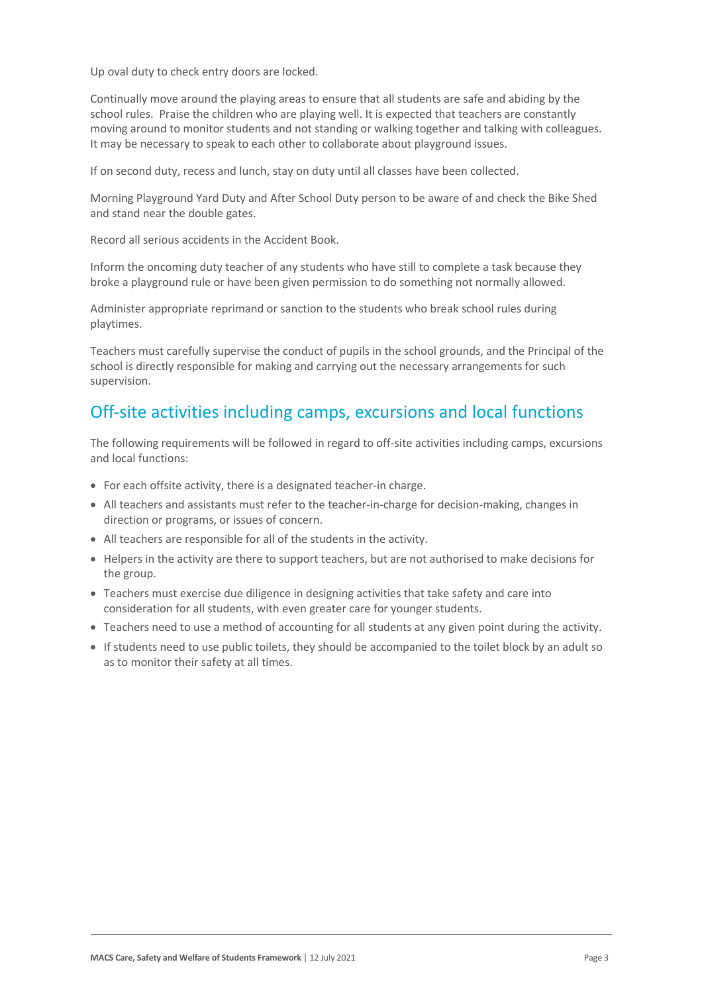Up oval duty to check entry doors are locked.

Continually move around the playing areas to ensure that all students are safe and abiding by the school rules. Praise the children who are playing well. It is expected that teachers are constantly moving around to monitor students and not standing or walking together and talking with colleagues. It may be necessary to speak to each other to collaborate about playground issues.

If on second duty, recess and lunch, stay on duty until all classes have been collected.

Morning Playground Yard Duty and After School Duty person to be aware of and check the Bike Shed and stand near the double gates.

Record all serious accidents in the Accident Book.

Inform the oncoming duty teacher of any students who have still to complete a task because they broke a playground rule or have been given permission to do something not normally allowed.

Administer appropriate reprimand or sanction to the students who break school rules during playtimes.

Teachers must carefully supervise the conduct of pupils in the school grounds, and the Principal of the school is directly responsible for making and carrying out the necessary arrangements for such supervision.

### Off-site activities including camps, excursions and local functions

The following requirements will be followed in regard to off-site activities including camps, excursions and local functions:

- For each offsite activity, there is a designated teacher-in charge.
- All teachers and assistants must refer to the teacher-in-charge for decision-making, changes in direction or programs, or issues of concern.
- All teachers are responsible for all of the students in the activity.
- Helpers in the activity are there to support teachers, but are not authorised to make decisions for the group.
- Teachers must exercise due diligence in designing activities that take safety and care into consideration for all students, with even greater care for younger students.
- Teachers need to use a method of accounting for all students at any given point during the activity.
- If students need to use public toilets, they should be accompanied to the toilet block by an adult so as to monitor their safety at all times.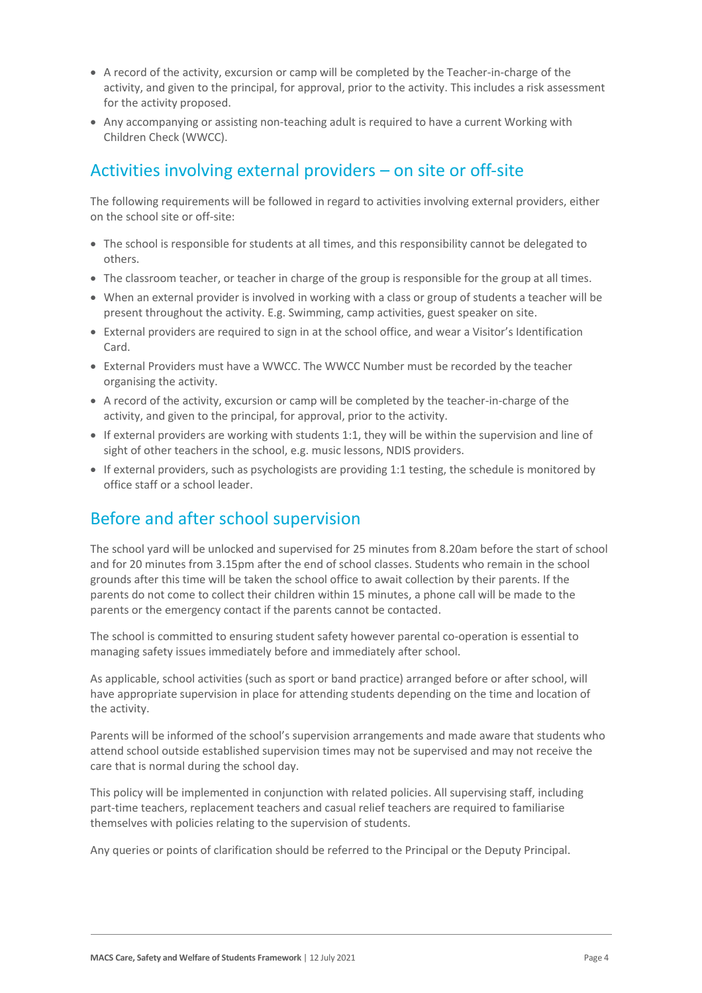- A record of the activity, excursion or camp will be completed by the Teacher-in-charge of the activity, and given to the principal, for approval, prior to the activity. This includes a risk assessment for the activity proposed.
- Any accompanying or assisting non-teaching adult is required to have a current Working with Children Check (WWCC).

## Activities involving external providers – on site or off-site

The following requirements will be followed in regard to activities involving external providers, either on the school site or off-site:

- The school is responsible for students at all times, and this responsibility cannot be delegated to others.
- The classroom teacher, or teacher in charge of the group is responsible for the group at all times.
- When an external provider is involved in working with a class or group of students a teacher will be present throughout the activity. E.g. Swimming, camp activities, guest speaker on site.
- External providers are required to sign in at the school office, and wear a Visitor's Identification Card.
- External Providers must have a WWCC. The WWCC Number must be recorded by the teacher organising the activity.
- A record of the activity, excursion or camp will be completed by the teacher-in-charge of the activity, and given to the principal, for approval, prior to the activity.
- If external providers are working with students 1:1, they will be within the supervision and line of sight of other teachers in the school, e.g. music lessons, NDIS providers.
- If external providers, such as psychologists are providing 1:1 testing, the schedule is monitored by office staff or a school leader.

### Before and after school supervision

The school yard will be unlocked and supervised for 25 minutes from 8.20am before the start of school and for 20 minutes from 3.15pm after the end of school classes. Students who remain in the school grounds after this time will be taken the school office to await collection by their parents. If the parents do not come to collect their children within 15 minutes, a phone call will be made to the parents or the emergency contact if the parents cannot be contacted.

The school is committed to ensuring student safety however parental co-operation is essential to managing safety issues immediately before and immediately after school.

As applicable, school activities (such as sport or band practice) arranged before or after school, will have appropriate supervision in place for attending students depending on the time and location of the activity.

Parents will be informed of the school's supervision arrangements and made aware that students who attend school outside established supervision times may not be supervised and may not receive the care that is normal during the school day.

This policy will be implemented in conjunction with related policies. All supervising staff, including part-time teachers, replacement teachers and casual relief teachers are required to familiarise themselves with policies relating to the supervision of students.

Any queries or points of clarification should be referred to the Principal or the Deputy Principal.